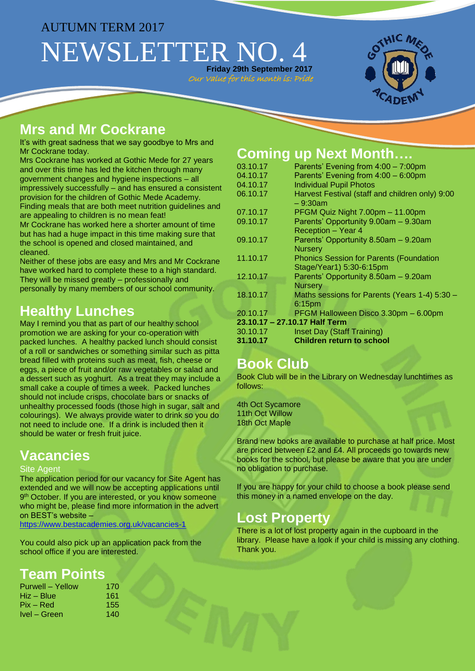# AUTUMN TERM 2017 NEWSLETTER NO. 4 **Friday 29th September 2017**

Our Value for this month is: Prid



# **Mrs and Mr Cockrane**

It's with great sadness that we say goodbye to Mrs and Mr Cockrane today.

Mrs Cockrane has worked at Gothic Mede for 27 years and over this time has led the kitchen through many government changes and hygiene inspections – all impressively successfully – and has ensured a consistent provision for the children of Gothic Mede Academy. Finding meals that are both meet nutrition guidelines and are appealing to children is no mean feat!

Mr Cockrane has worked here a shorter amount of time but has had a huge impact in this time making sure that the school is opened and closed maintained, and cleaned.

Neither of these jobs are easy and Mrs and Mr Cockrane have worked hard to complete these to a high standard. They will be missed greatly – professionally and personally by many members of our school community.

# **Healthy Lunches**

May I remind you that as part of our healthy school promotion we are asking for your co-operation with packed lunches. A healthy packed lunch should consist of a roll or sandwiches or something similar such as pitta bread filled with proteins such as meat, fish, cheese or eggs, a piece of fruit and/or raw vegetables or salad and a dessert such as yoghurt. As a treat they may include a small cake a couple of times a week. Packed lunches should not include crisps, chocolate bars or snacks of unhealthy processed foods (those high in sugar, salt and colourings). We always provide water to drink so you do not need to include one. If a drink is included then it should be water or fresh fruit juice.

# **Vacancies**

#### **Site Agent**

The application period for our vacancy for Site Agent has extended and we will now be accepting applications until 9<sup>th</sup> October. If you are interested, or you know someone who might be, please find more information in the advert on BEST's website –

<https://www.bestacademies.org.uk/vacancies-1>

You could also pick up an application pack from the school office if you are interested.

## **Team Points**

| 170 |
|-----|
| 161 |
| 155 |
| 140 |
|     |

# **Coming up Next Month….**

| 03.10.17                      | Parents' Evening from 4:00 - 7:00pm                                        |  |  |  |
|-------------------------------|----------------------------------------------------------------------------|--|--|--|
| 04.10.17                      | Parents' Evening from 4:00 - 6:00pm                                        |  |  |  |
| 04.10.17                      | <b>Individual Pupil Photos</b>                                             |  |  |  |
| 06.10.17                      | Harvest Festival (staff and children only) 9:00<br>$-9:30am$               |  |  |  |
| 07.10.17                      | PFGM Quiz Night 7.00pm - 11.00pm                                           |  |  |  |
| 09.10.17                      | Parents' Opportunity 9.00am - 9.30am<br><b>Reception - Year 4</b>          |  |  |  |
| 09.10.17                      | Parents' Opportunity 8.50am - 9.20am<br><b>Nursery</b>                     |  |  |  |
| 11.10.17                      | <b>Phonics Session for Parents (Foundation</b><br>Stage/Year1) 5:30-6:15pm |  |  |  |
| 12.10.17                      | Parents' Opportunity 8.50am - 9.20am<br><b>Nursery</b>                     |  |  |  |
| 18.10.17                      | Maths sessions for Parents (Years 1-4) 5:30 -<br>6:15pm                    |  |  |  |
| 20.10.17                      | PFGM Halloween Disco 3.30pm - 6.00pm                                       |  |  |  |
| 23.10.17 - 27.10.17 Half Term |                                                                            |  |  |  |
| 30.10.17                      | Inset Day (Staff Training)                                                 |  |  |  |
| 31.10.17                      | <b>Children return to school</b>                                           |  |  |  |

## **Book Club**

Book Club will be in the Library on Wednesday lunchtimes as follows:

4th Oct Sycamore 11th Oct Willow 18th Oct Maple

Brand new books are available to purchase at half price. Most are priced between £2 and £4. All proceeds go towards new books for the school, but please be aware that you are under no obligation to purchase.

If you are happy for your child to choose a book please send this money in a named envelope on the day.

## **Lost Property**

There is a lot of lost property again in the cupboard in the library. Please have a look if your child is missing any clothing. Thank you.